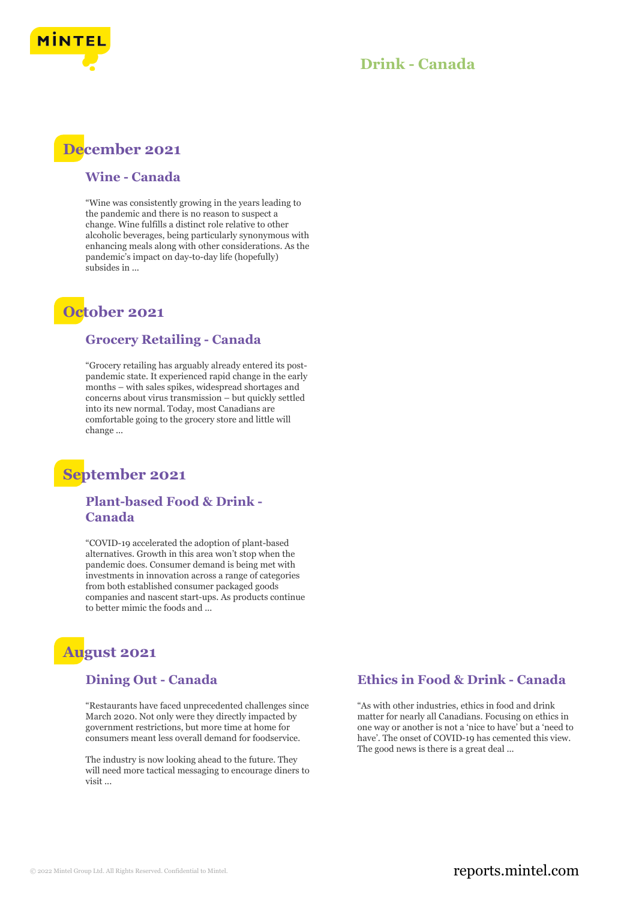

## **Drink - Canada**



#### **Wine - Canada**

"Wine was consistently growing in the years leading to the pandemic and there is no reason to suspect a change. Wine fulfills a distinct role relative to other alcoholic beverages, being particularly synonymous with enhancing meals along with other considerations. As the pandemic's impact on day-to-day life (hopefully) subsides in ...

## **October 2021**

#### **Grocery Retailing - Canada**

"Grocery retailing has arguably already entered its postpandemic state. It experienced rapid change in the early months – with sales spikes, widespread shortages and concerns about virus transmission – but quickly settled into its new normal. Today, most Canadians are comfortable going to the grocery store and little will change ...

## **September 2021**

#### **Plant-based Food & Drink - Canada**

"COVID-19 accelerated the adoption of plant-based alternatives. Growth in this area won't stop when the pandemic does. Consumer demand is being met with investments in innovation across a range of categories from both established consumer packaged goods companies and nascent start-ups. As products continue to better mimic the foods and ...

# **August 2021**

#### **Dining Out - Canada**

"Restaurants have faced unprecedented challenges since March 2020. Not only were they directly impacted by government restrictions, but more time at home for consumers meant less overall demand for foodservice.

The industry is now looking ahead to the future. They will need more tactical messaging to encourage diners to visit ...

#### **Ethics in Food & Drink - Canada**

"As with other industries, ethics in food and drink matter for nearly all Canadians. Focusing on ethics in one way or another is not a 'nice to have' but a 'need to have'. The onset of COVID-19 has cemented this view. The good news is there is a great deal ...

### © 2022 Mintel Group Ltd. All Rights Reserved. Confidential to Mintel.  $\blacksquare$  reports.mintel.com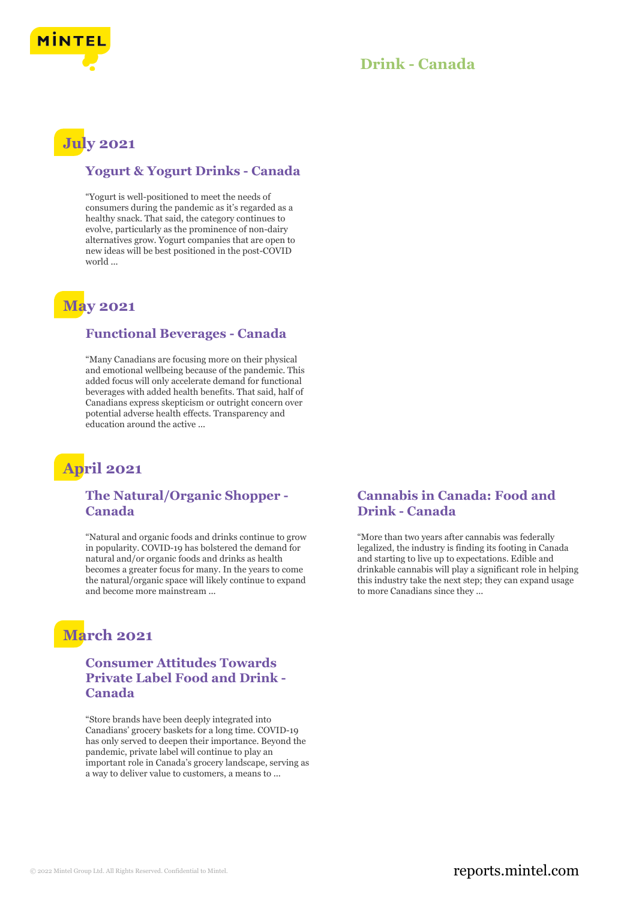

## **Drink - Canada**

# **July 2021**

#### **Yogurt & Yogurt Drinks - Canada**

"Yogurt is well-positioned to meet the needs of consumers during the pandemic as it's regarded as a healthy snack. That said, the category continues to evolve, particularly as the prominence of non-dairy alternatives grow. Yogurt companies that are open to new ideas will be best positioned in the post-COVID world ...

## **May 2021**

#### **Functional Beverages - Canada**

"Many Canadians are focusing more on their physical and emotional wellbeing because of the pandemic. This added focus will only accelerate demand for functional beverages with added health benefits. That said, half of Canadians express skepticism or outright concern over potential adverse health effects. Transparency and education around the active ...

# **April 2021**

### **The Natural/Organic Shopper - Canada**

"Natural and organic foods and drinks continue to grow in popularity. COVID-19 has bolstered the demand for natural and/or organic foods and drinks as health becomes a greater focus for many. In the years to come the natural/organic space will likely continue to expand and become more mainstream ...

# **March 2021**

### **Consumer Attitudes Towards Private Label Food and Drink - Canada**

"Store brands have been deeply integrated into Canadians' grocery baskets for a long time. COVID-19 has only served to deepen their importance. Beyond the pandemic, private label will continue to play an important role in Canada's grocery landscape, serving as a way to deliver value to customers, a means to ...

### **Cannabis in Canada: Food and Drink - Canada**

"More than two years after cannabis was federally legalized, the industry is finding its footing in Canada and starting to live up to expectations. Edible and drinkable cannabis will play a significant role in helping this industry take the next step; they can expand usage to more Canadians since they ...